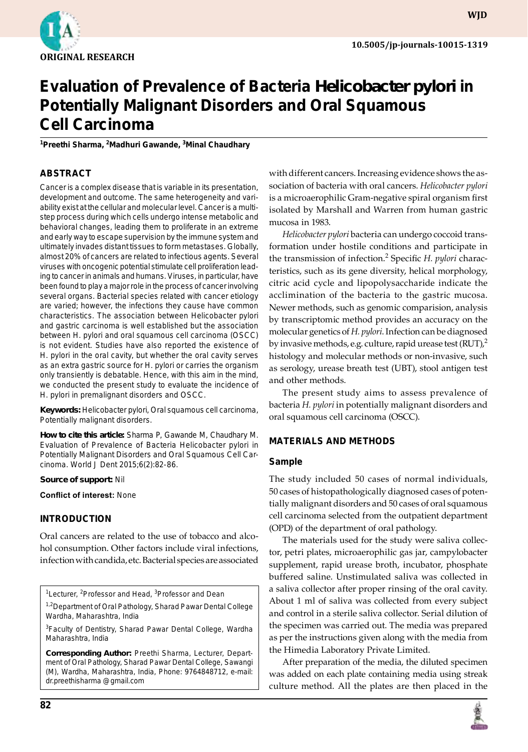

**wjd**

# **Evaluation of Prevalence of Bacteria** *Helicobacter pylori* **in Potentially Malignant Disorders and Oral Squamous Cell Carcinoma**

**1 Preethi Sharma, <sup>2</sup> Madhuri Gawande, 3 Minal Chaudhary**

# **ABSTRACT**

Cancer is a complex disease that is variable in its presentation, development and outcome. The same heterogeneity and variability exist at the cellular and molecular level. Cancer is a multistep process during which cells undergo intense metabolic and behavioral changes, leading them to proliferate in an extreme and early way to escape supervision by the immune system and ultimately invades distant tissues to form metastases. Globally, almost 20% of cancers are related to infectious agents. Several viruses with oncogenic potential stimulate cell proliferation leading to cancer in animals and humans. Viruses, in particular, have been found to play a major role in the process of cancer involving several organs. Bacterial species related with cancer etiology are varied; however, the infections they cause have common characteristics. The association between *Helicobacter pylori*  and gastric carcinoma is well established but the association between *H. pylori* and oral squamous cell carcinoma (OSCC) is not evident. Studies have also reported the existence of *H. pylori* in the oral cavity, but whether the oral cavity serves as an extra gastric source for *H. pylori* or carries the organism only transiently is debatable. Hence, with this aim in the mind, we conducted the present study to evaluate the incidence of *H. pylori* in premalignant disorders and OSCC.

**Keywords:** *Helicobacter pylori*, Oral squamous cell carcinoma, Potentially malignant disorders.

**How to cite this article:** Sharma P, Gawande M, Chaudhary M. Evaluation of Prevalence of Bacteria *Helicobacter pylori* in Potentially Malignant Disorders and Oral Squamous Cell Carcinoma. World J Dent 2015;6(2):82-86.

**Source of support:** Nil

**Conflict of interest:** None

## **INTRODUCTION**

Oral cancers are related to the use of tobacco and alcohol consumption. Other factors include viral infections, infection with candida, etc. Bacterial species are associated

<sup>1</sup>Lecturer, <sup>2</sup>Professor and Head, <sup>3</sup>Professor and Dean

<sup>1,2</sup>Department of Oral Pathology, Sharad Pawar Dental College Wardha, Maharashtra, India

3 Faculty of Dentistry, Sharad Pawar Dental College, Wardha Maharashtra, India

**Corresponding Author:** Preethi Sharma, Lecturer, Department of Oral Pathology, Sharad Pawar Dental College, Sawangi (M), Wardha, Maharashtra, India, Phone: 9764848712, e-mail: dr.preethisharma @gmail.com

with different cancers. Increasing evidence shows the association of bacteria with oral cancers. *Helicobacter pylori* is a microaerophilic Gram-negative spiral organism first isolated by Marshall and Warren from human gastric mucosa in 1983.

*Helicobacter pylori* bacteria can undergo coccoid transformation under hostile conditions and participate in the transmission of infection.2 Specific *H. pylori* characteristics, such as its gene diversity, helical morphology, citric acid cycle and lipopolysaccharide indicate the acclimination of the bacteria to the gastric mucosa. Newer methods, such as genomic comparision, analysis by transcriptomic method provides an accuracy on the molecular genetics of *H. pylori*. Infection can be diagnosed by invasive methods, e.g. culture, rapid urease test (RUT), $^2$ histology and molecular methods or non-invasive, such as serology, urease breath test (UBT), stool antigen test and other methods.

The present study aims to assess prevalence of bacteria *H. pylori* in potentially malignant disorders and oral squamous cell carcinoma (OSCC).

## **MATERIALS AND METHODs**

#### **Sample**

The study included 50 cases of normal individuals, 50 cases of histopathologically diagnosed cases of potentially malignant disorders and 50 cases of oral squamous cell carcinoma selected from the outpatient department (OPD) of the department of oral pathology.

The materials used for the study were saliva collector, petri plates, microaerophilic gas jar, campylobacter supplement, rapid urease broth, incubator, phosphate buffered saline. Unstimulated saliva was collected in a saliva collector after proper rinsing of the oral cavity. About 1 ml of saliva was collected from every subject and control in a sterile saliva collector. Serial dilution of the specimen was carried out. The media was prepared as per the instructions given along with the media from the Himedia Laboratory Private Limited.

After preparation of the media, the diluted specimen was added on each plate containing media using streak culture method. All the plates are then placed in the

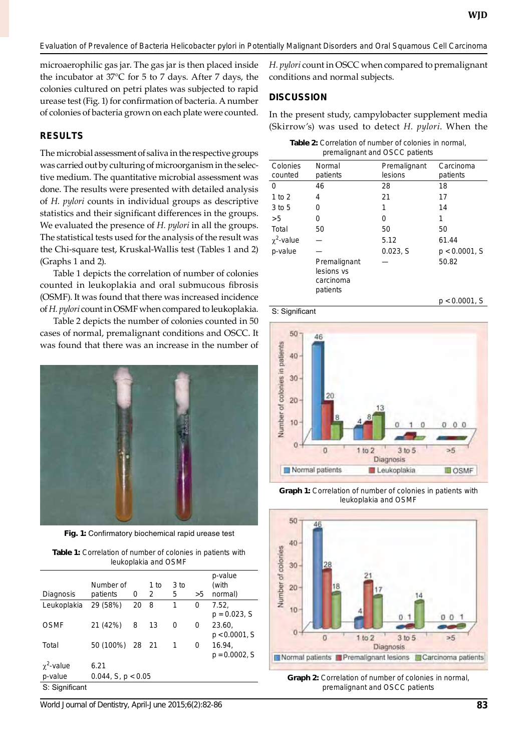microaerophilic gas jar. The gas jar is then placed inside the incubator at 37°C for 5 to 7 days. After 7 days, the colonies cultured on petri plates was subjected to rapid urease test (Fig. 1) for confirmation of bacteria. A number of colonies of bacteria grown on each plate were counted.

#### **RESULTS**

The microbial assessment of saliva in the respective groups was carried out by culturing of microorganism in the selective medium. The quantitative microbial assessment was done. The results were presented with detailed analysis of *H. pylori* counts in individual groups as descriptive statistics and their significant differences in the groups. We evaluated the presence of *H. pylori* in all the groups. The statistical tests used for the analysis of the result was the Chi-square test, Kruskal-Wallis test (Tables 1 and 2) (Graphs 1 and 2).

Table 1 depicts the correlation of number of colonies counted in leukoplakia and oral submucous fibrosis (OSMF). It was found that there was increased incidence of *H. pylori* count in OSMF when compared to leukoplakia.

Table 2 depicts the number of colonies counted in 50 cases of normal, premalignant conditions and oscc. It was found that there was an increase in the number of



**Fig. 1:** Confirmatory biochemical rapid urease test

**Table 1:** Correlation of number of colonies in patients with leukoplakia and OSMF

| Diagnosis         | Number of<br>patients | 0  | 1 to<br>2 | 3 to<br>5 | >5 | p-value<br>(with<br>normal) |
|-------------------|-----------------------|----|-----------|-----------|----|-----------------------------|
| Leukoplakia       | 29 (58%)              | 20 | 8         | 1         | 0  | 7.52.<br>$p = 0.023$ , S    |
| <b>OSMF</b>       | 21 (42%)              | 8  | 13        | 0         | 0  | 23.60,<br>$p < 0.0001$ , S  |
| Total             | 50 (100%) 28 21       |    |           | 1         | 0  | 16.94,<br>$p = 0.0002$ , S  |
| $\gamma^2$ -value | 6.21                  |    |           |           |    |                             |
| p-value           | $0.044$ , S, p < 0.05 |    |           |           |    |                             |
| S: Significant    |                       |    |           |           |    |                             |

*H. pylori* count in OSCC when compared to premalignant conditions and normal subjects.

#### **Discussion**

In the present study, campylobacter supplement media (Skirrow's) was used to detect *H. pylori*. When the

| <b>Table 2:</b> Correlation of number of colonies in normal. |
|--------------------------------------------------------------|
| premalignant and OSCC patients                               |

| Colonies        | Normal                                              | Premalignant | Carcinoma        |
|-----------------|-----------------------------------------------------|--------------|------------------|
| counted         | patients                                            | lesions      | patients         |
| 0               | 46                                                  | 28           | 18               |
| 1 to $2$        | 4                                                   | 21           | 17               |
| 3 to 5          | 0                                                   | 1            | 14               |
| >5              | 0                                                   | 0            | 1                |
| Total           | 50                                                  | 50           | 50               |
| $\chi^2$ -value |                                                     | 5.12         | 61.44            |
| p-value         |                                                     | 0.023, S     | $p < 0.0001$ , S |
|                 | Premalignant<br>lesions vs<br>carcinoma<br>patients |              | 50.82            |
|                 |                                                     |              | $p < 0.0001$ , S |





**Graph 1:** Correlation of number of colonies in patients with leukoplakia and OSMF



**Graph 2:** Correlation of number of colonies in normal, premalignant and oscc patients

*World Journal of Dentistry, April-June 2015;6(2):82-86* **83**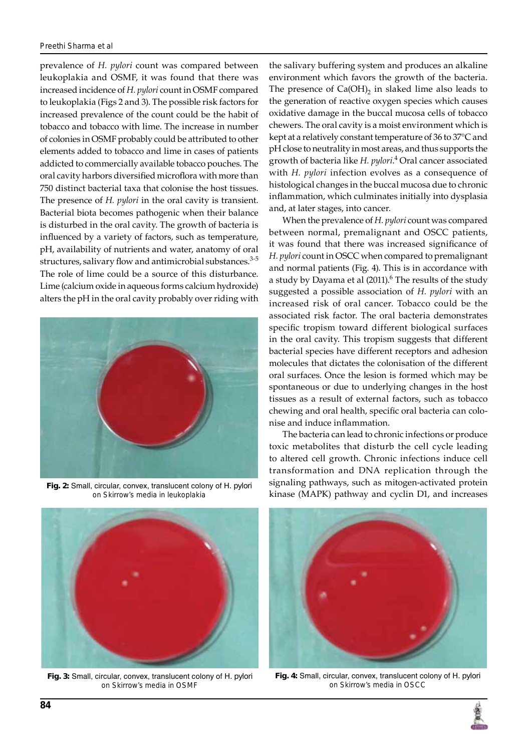prevalence of *H. pylori* count was compared between leukoplakia and OSMF, it was found that there was increased incidence of *H. pylori* count in OSMF compared to leukoplakia (Figs 2 and 3). The possible risk factors for increased prevalence of the count could be the habit of tobacco and tobacco with lime. The increase in number of colonies in OSMF probably could be attributed to other elements added to tobacco and lime in cases of patients addicted to commercially available tobacco pouches. The oral cavity harbors diversified microflora with more than 750 distinct bacterial taxa that colonise the host tissues. The presence of *H. pylori* in the oral cavity is transient. Bacterial biota becomes pathogenic when their balance is disturbed in the oral cavity. The growth of bacteria is influenced by a variety of factors, such as temperature, pH, availability of nutrients and water, anatomy of oral structures, salivary flow and antimicrobial substances.<sup>3-5</sup> The role of lime could be a source of this disturbance. Lime (calcium oxide in aqueous forms calcium hydroxide) alters the pH in the oral cavity probably over riding with



**Fig. 2:** Small, circular, convex, translucent colony of *H. pylori*  on Skirrow's media in leukoplakia

the salivary buffering system and produces an alkaline environment which favors the growth of the bacteria. The presence of  $Ca(OH)_2$  in slaked lime also leads to the generation of reactive oxygen species which causes oxidative damage in the buccal mucosa cells of tobacco chewers. The oral cavity is a moist environment which is kept at a relatively constant temperature of 36 to 37°C and pH close to neutrality in most areas, and thus supports the growth of bacteria like *H. pylori*. 4 Oral cancer associated with *H. pylori* infection evolves as a consequence of histological changes in the buccal mucosa due to chronic inflammation, which culminates initially into dysplasia and, at later stages, into cancer.

When the prevalence of *H. pylori* count was compared between normal, premalignant and oscc patients, it was found that there was increased significance of *H. pylori* count in oscc when compared to premalignant and normal patients (Fig. 4). This is in accordance with a study by Dayama et al (2011). $\rm ^6$  The results of the study suggested a possible association of *H. pylori* with an increased risk of oral cancer. Tobacco could be the associated risk factor. The oral bacteria demonstrates specific tropism toward different biological surfaces in the oral cavity. This tropism suggests that different bacterial species have different receptors and adhesion molecules that dictates the colonisation of the different oral surfaces. Once the lesion is formed which may be spontaneous or due to underlying changes in the host tissues as a result of external factors, such as tobacco chewing and oral health, specific oral bacteria can colonise and induce inflammation.

The bacteria can lead to chronic infections or produce toxic metabolites that disturb the cell cycle leading to altered cell growth. Chronic infections induce cell transformation and DNA replication through the signaling pathways, such as mitogen-activated protein kinase (MAPK) pathway and cyclin D1, and increases



**Fig. 3:** Small, circular, convex, translucent colony of *H. pylori*  on Skirrow's media in OSMF



**Fig. 4:** Small, circular, convex, translucent colony of *H. pylori*  on Skirrow's media in oscc

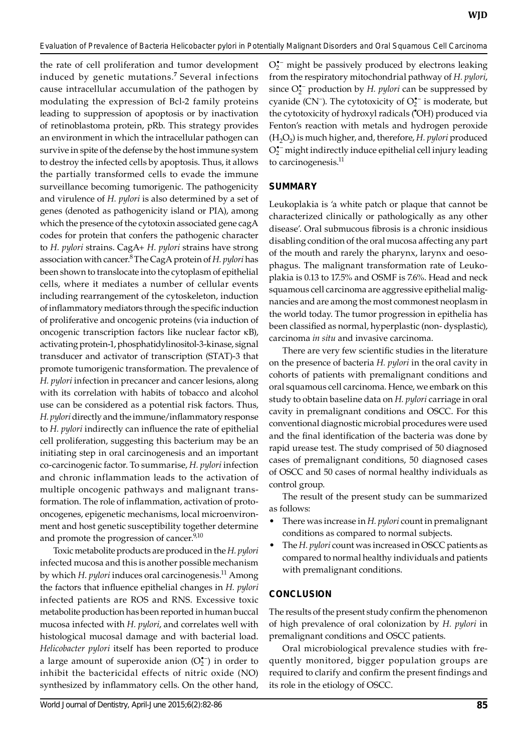the rate of cell proliferation and tumor development induced by genetic mutations.**<sup>7</sup>**Several infections cause intracellular accumulation of the pathogen by modulating the expression of Bcl-2 family proteins leading to suppression of apoptosis or by inactivation of retinoblastoma protein, pRb. This strategy provides an environment in which the intracellular pathogen can survive in spite of the defense by the host immune system to destroy the infected cells by apoptosis. Thus, it allows the partially transformed cells to evade the immune surveillance becoming tumorigenic. The pathogenicity and virulence of *H. pylori* is also determined by a set of genes (denoted as pathogenicity island or PIA), among which the presence of the cytotoxin associated gene cagA codes for protein that confers the pathogenic character to *H. pylori* strains. CagA+ *H. pylori* strains have strong association with cancer.8 The CagA protein of *H. pylori* has been shown to translocate into the cytoplasm of epithelial cells, where it mediates a number of cellular events including rearrangement of the cytoskeleton, induction of inflammatory mediators through the specific induction of proliferative and oncogenic proteins (via induction of oncogenic transcription factors like nuclear factor kB), activating protein-1, phosphatidylinositol-3-kinase, signal transducer and activator of transcription (STAT)-3 that promote tumorigenic transformation. The prevalence of *H. pylori* infection in precancer and cancer lesions, along with its correlation with habits of tobacco and alcohol use can be considered as a potential risk factors. Thus, *H. pylori* directly and the immune/inflammatory response to *H. pylori* indirectly can influence the rate of epithelial cell proliferation, suggesting this bacterium may be an initiating step in oral carcinogenesis and an important co-carcinogenic factor. To summarise, *H. pylori* infection and chronic inflammation leads to the activation of multiple oncogenic pathways and malignant transformation. The role of inflammation, activation of protooncogenes, epigenetic mechanisms, local microenvironment and host genetic susceptibility together determine and promote the progression of cancer.<sup>9,10</sup>

Toxic metabolite products are produced in the *H. pylori* infected mucosa and this is another possible mechanism by which *H. pylori* induces oral carcinogenesis.11 Among the factors that influence epithelial changes in *H. pylori* infected patients are ROS and RNS. Excessive toxic metabolite production has been reported in human buccal mucosa infected with *H. pylori*, and correlates well with histological mucosal damage and with bacterial load. *Helicobacter pylori* itself has been reported to produce a large amount of superoxide anion  $(O_2^{\bullet-})$  in order to inhibit the bactericidal effects of nitric oxide (NO) synthesized by inflammatory cells. On the other hand,

 $O_2^{\bullet-}$  might be passively produced by electrons leaking from the respiratory mitochondrial pathway of *H. pylori*, since O<sup>\*</sup><sub>2</sub> production by *H. pylori* can be suppressed by cyanide (CN<sup>-</sup>). The cytotoxicity of  $O_2^{\bullet-}$  is moderate, but the cytotoxicity of hydroxyl radicals (• OH) produced via Fenton's reaction with metals and hydrogen peroxide (H2O2) is much higher, and, therefore, *H. pylori* produced  $O_2^{\bullet-}$  might indirectly induce epithelial cell injury leading to carcinogenesis.<sup>11</sup>

# **Summary**

Leukoplakia is 'a white patch or plaque that cannot be characterized clinically or pathologically as any other disease'. Oral submucous fibrosis is a chronic insidious disabling condition of the oral mucosa affecting any part of the mouth and rarely the pharynx, larynx and oesophagus. The malignant transformation rate of Leukoplakia is 0.13 to 17.5% and OSMF is 7.6%. Head and neck squamous cell carcinoma are aggressive epithelial malignancies and are among the most commonest neoplasm in the world today. The tumor progression in epithelia has been classified as normal, hyperplastic (non- dysplastic), carcinoma *in situ* and invasive carcinoma.

There are very few scientific studies in the literature on the presence of bacteria *H. pylori* in the oral cavity in cohorts of patients with premalignant conditions and oral squamous cell carcinoma. Hence, we embark on this study to obtain baseline data on *H. pylori* carriage in oral cavity in premalignant conditions and OSCC. For this conventional diagnostic microbial procedures were used and the final identification of the bacteria was done by rapid urease test. The study comprised of 50 diagnosed cases of premalignant conditions, 50 diagnosed cases of OSCC and 50 cases of normal healthy individuals as control group.

The result of the present study can be summarized as follows:

- There was increase in *H. pylori* count in premalignant conditions as compared to normal subjects.
- The *H. pylori* count was increased in OSCC patients as compared to normal healthy individuals and patients with premalignant conditions.

# **Conclusion**

The results of the present study confirm the phenomenon of high prevalence of oral colonization by *H. pylori* in premalignant conditions and OSCC patients.

Oral microbiological prevalence studies with frequently monitored, bigger population groups are required to clarify and confirm the present findings and its role in the etiology of OSCC.